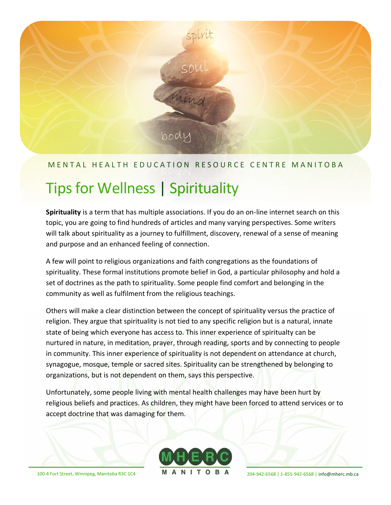

## M E N T A L H E A L T H E D U C A T I O N R E S O U R C E C E N T R EM A N I T O B A

# Tips for Wellness | Spirituality

**Spirituality** is a term that has multiple associations. If you do an on-line internet search on this topic, you are going to find hundreds of articles and many varying perspectives. Some writers will talk about spirituality as a journey to fulfillment, discovery, renewal of a sense of meaning and purpose and an enhanced feeling of connection.

A few will point to religious organizations and faith congregations as the foundations of spirituality. These formal institutions promote belief in God, a particular philosophy and hold a set of doctrines as the path to spirituality. Some people find comfort and belonging in the community as well as fulfilment from the religious teachings.

Others will make a clear distinction between the concept of spirituality versus the practice of religion. They argue that spirituality is not tied to any specific religion but is a natural, innate state of being which everyone has access to. This inner experience of spiritualty can be nurtured in nature, in meditation, prayer, through reading, sports and by connecting to people in community. This inner experience of spirituality is not dependent on attendance at church, synagogue, mosque, temple or sacred sites. Spirituality can be strengthened by belonging to organizations, but is not dependent on them, says this perspective.

Unfortunately, some people living with mental health challenges may have been hurt by religious beliefs and practices. As children, they might have been forced to attend services or to accept doctrine that was damaging for them.



100-4 Fort Street, Winnipeg, Manitoba R3C 1C4 **M A N I T O B A**  $_{204-942-6568 \,|\, 1-855-942-6568 \,|\,$  [info@mherc.mb.ca](mailto:info@mherc.mb.ca)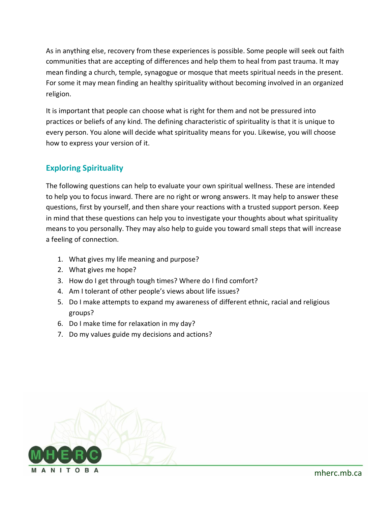As in anything else, recovery from these experiences is possible. Some people will seek out faith communities that are accepting of differences and help them to heal from past trauma. It may mean finding a church, temple, synagogue or mosque that meets spiritual needs in the present. For some it may mean finding an healthy spirituality without becoming involved in an organized religion.

It is important that people can choose what is right for them and not be pressured into practices or beliefs of any kind. The defining characteristic of spirituality is that it is unique to every person. You alone will decide what spirituality means for you. Likewise, you will choose how to express your version of it.

## **Exploring Spirituality**

The following questions can help to evaluate your own spiritual wellness. These are intended to help you to focus inward. There are no right or wrong answers. It may help to answer these questions, first by yourself, and then share your reactions with a trusted support person. Keep in mind that these questions can help you to investigate your thoughts about what spirituality means to you personally. They may also help to guide you toward small steps that will increase a feeling of connection.

- 1. What gives my life meaning and purpose?
- 2. What gives me hope?
- 3. How do I get through tough times? Where do I find comfort?
- 4. Am I tolerant of other people's views about life issues?
- 5. Do I make attempts to expand my awareness of different ethnic, racial and religious groups?
- 6. Do I make time for relaxation in my day?
- 7. Do my values guide my decisions and actions?

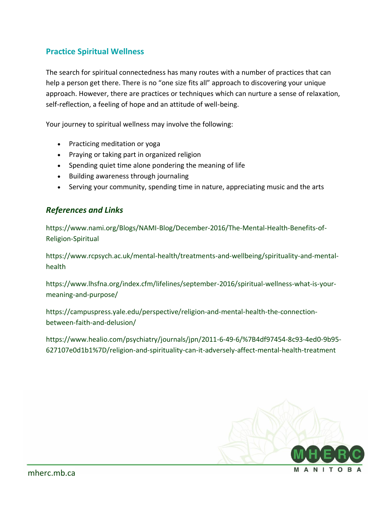## **Practice Spiritual Wellness**

The search for spiritual connectedness has many routes with a number of practices that can help a person get there. There is no "one size fits all" approach to discovering your unique approach. However, there are practices or techniques which can nurture a sense of relaxation, self-reflection, a feeling of hope and an attitude of well-being.

Your journey to spiritual wellness may involve the following:

- Practicing meditation or yoga
- Praying or taking part in organized religion
- Spending quiet time alone pondering the meaning of life
- Building awareness through journaling
- Serving your community, spending time in nature, appreciating music and the arts

#### *References and Links*

[https://www.nami.org/Blogs/NAMI-Blog/December-2016/The-Mental-Health-Benefits-of-](https://www.nami.org/Blogs/NAMI-Blog/December-2016/The-Mental-Health-Benefits-of-Religion-Spiritual)[Religion-Spiritual](https://www.nami.org/Blogs/NAMI-Blog/December-2016/The-Mental-Health-Benefits-of-Religion-Spiritual)

[https://www.rcpsych.ac.uk/mental-health/treatments-and-wellbeing/spirituality-and-mental](https://www.rcpsych.ac.uk/mental-health/treatments-and-wellbeing/spirituality-and-mental-health)[health](https://www.rcpsych.ac.uk/mental-health/treatments-and-wellbeing/spirituality-and-mental-health)

[https://www.lhsfna.org/index.cfm/lifelines/september-2016/spiritual-wellness-what-is-your](https://www.lhsfna.org/index.cfm/lifelines/september-2016/spiritual-wellness-what-is-your-meaning-and-purpose/)[meaning-and-purpose/](https://www.lhsfna.org/index.cfm/lifelines/september-2016/spiritual-wellness-what-is-your-meaning-and-purpose/)

[https://campuspress.yale.edu/perspective/religion-and-mental-health-the-connection](https://campuspress.yale.edu/perspective/religion-and-mental-health-the-connection-between-faith-and-delusion/)[between-faith-and-delusion/](https://campuspress.yale.edu/perspective/religion-and-mental-health-the-connection-between-faith-and-delusion/)

[https://www.healio.com/psychiatry/journals/jpn/2011-6-49-6/%7B4df97454-8c93-4ed0-9b95-](https://www.healio.com/psychiatry/journals/jpn/2011-6-49-6/%7B4df97454-8c93-4ed0-9b95-627107e0d1b1%7D/religion-and-spirituality-can-it-adversely-affect-mental-health-treatment) [627107e0d1b1%7D/religion-and-spirituality-can-it-adversely-affect-mental-health-treatment](https://www.healio.com/psychiatry/journals/jpn/2011-6-49-6/%7B4df97454-8c93-4ed0-9b95-627107e0d1b1%7D/religion-and-spirituality-can-it-adversely-affect-mental-health-treatment)